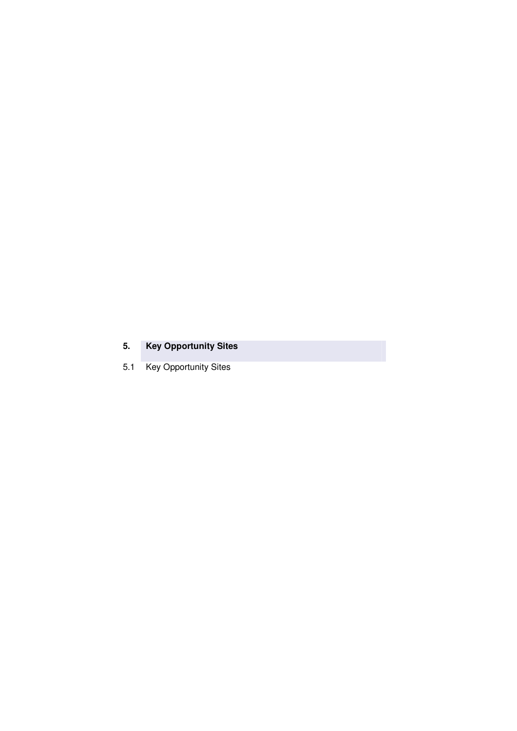# **5. Key Opportunity Sites**

5.1 Key Opportunity Sites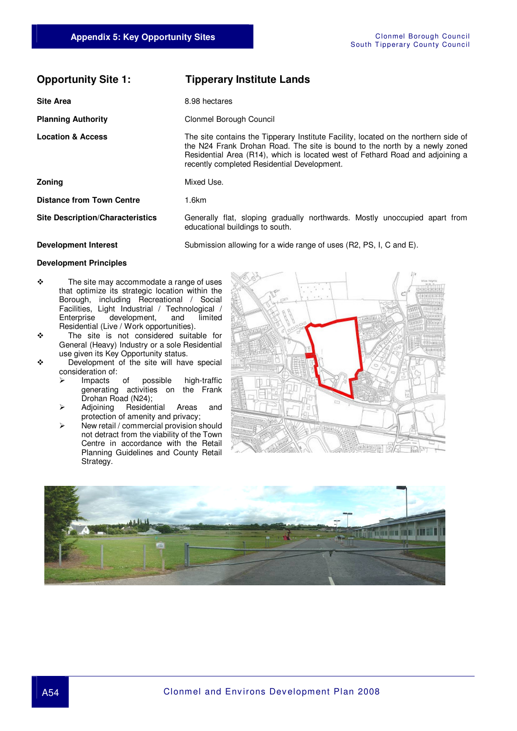### **Opportunity Site 1: Tipperary Institute Lands**

**Site Area 8.98 hectares** 

**Planning Authority Clonmel Borough Council** 

**Location & Access** The site contains the Tipperary Institute Facility, located on the northern side of the N24 Frank Drohan Road. The site is bound to the north by a newly zoned Residential Area (R14), which is located west of Fethard Road and adjoining a recently completed Residential Development.

**Zoning Mixed Use.** 

**Distance from Town Centre** 1.6km

**Site Description/Characteristics** Generally flat, sloping gradually northwards. Mostly unoccupied apart from educational buildings to south.

**Development Interest** Submission allowing for a wide range of uses (R2, PS, I, C and E).

#### **Development Principles**

- $\div$  The site may accommodate a range of uses that optimize its strategic location within the Borough, including Recreational / Social Facilities, Light Industrial / Technological /<br>Enterprise development, and limited development, Residential (Live / Work opportunities).
- The site is not considered suitable for General (Heavy) Industry or a sole Residential use given its Key Opportunity status.
- ◆ Development of the site will have special
	- consideration of:<br>
	> Impacts of  $\triangleright$  Impacts of possible high-traffic generating activities on the Frank Drohan Road (N24);
	- > Adjoining Residential Areas and protection of amenity and privacy;
	- $\triangleright$  New retail / commercial provision should not detract from the viability of the Town Centre in accordance with the Retail Planning Guidelines and County Retail Strategy.



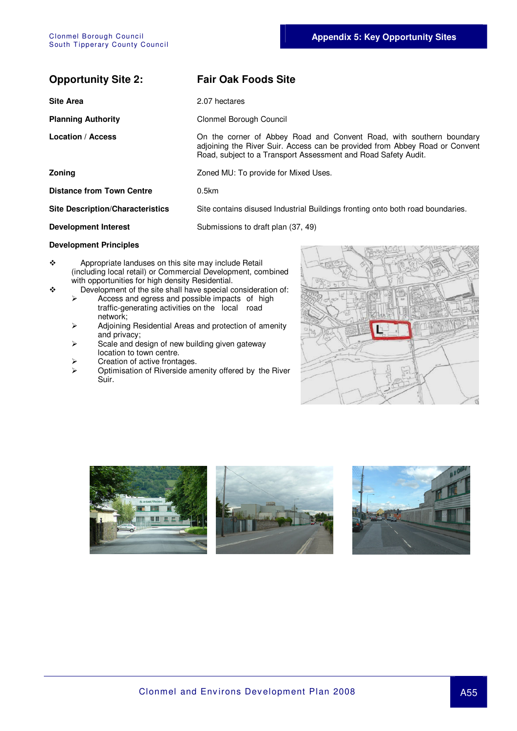| <b>Site Area</b>                        | 2.07 hectares                                                                                                                                                                                                         |
|-----------------------------------------|-----------------------------------------------------------------------------------------------------------------------------------------------------------------------------------------------------------------------|
| <b>Planning Authority</b>               | Clonmel Borough Council                                                                                                                                                                                               |
| <b>Location / Access</b>                | On the corner of Abbey Road and Convent Road, with southern boundary<br>adjoining the River Suir. Access can be provided from Abbey Road or Convent<br>Road, subject to a Transport Assessment and Road Safety Audit. |
| <b>Zoning</b>                           | Zoned MU: To provide for Mixed Uses.                                                                                                                                                                                  |
| <b>Distance from Town Centre</b>        | $0.5$ km                                                                                                                                                                                                              |
| <b>Site Description/Characteristics</b> | Site contains disused Industrial Buildings fronting onto both road boundaries.                                                                                                                                        |
| <b>Development Interest</b>             | Submissions to draft plan (37, 49)                                                                                                                                                                                    |
| Beuslanmant Brinainlea                  |                                                                                                                                                                                                                       |

#### **Development Principles**

\* Appropriate landuses on this site may include Retail (including local retail) or Commercial Development, combined with opportunities for high density Residential.

**Opportunity Site 2: Fair Oak Foods Site** 

- $\bullet$  Development of the site shall have special consideration of:<br>  $\triangleright$  Access and egges and possible impacts of high
	- Access and egress and possible impacts of high traffic-generating activities on the local road network;
	- Adjoining Residential Areas and protection of amenity and privacy;
	- $\triangleright$  Scale and design of new building given gateway location to town centre.
	- $\triangleright$  Creation of active frontages.<br>  $\triangleright$  Optimisation of Riverside am
	- Optimisation of Riverside amenity offered by the River Suir.